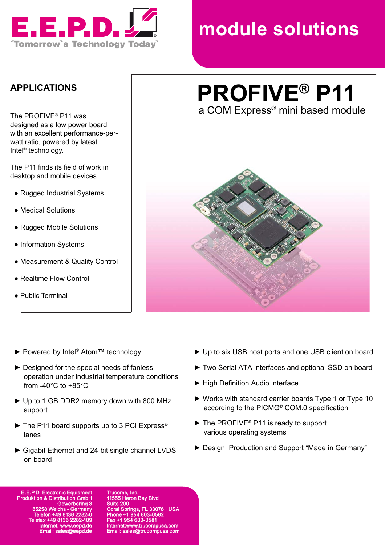

# **module solutions**

#### **APPLICATIONS**

The PROFIVE® P11 was designed as a low power board with an excellent performance-perwatt ratio, powered by latest Intel® technology.

The P11 finds its field of work in desktop and mobile devices.

- Rugged Industrial Systems
- Medical Solutions
- Rugged Mobile Solutions
- Information Systems
- Measurement & Quality Control
- Realtime Flow Control
- Public Terminal

## **PROFIVE® P11** The PROFIVE® P11 was **the PROFIVE®** P11 was a COM Express® mini based module



- ▶ Powered by Intel<sup>®</sup> Atom™ technology
- ► Designed for the special needs of fanless operation under industrial temperature conditions from -40°C to +85°C
- ► Up to 1 GB DDR2 memory down with 800 MHz support
- ► The P11 board supports up to 3 PCI Express® lanes
- ► Gigabit Ethernet and 24-bit single channel LVDS on board
- ► Up to six USB host ports and one USB client on board
- ► Two Serial ATA interfaces and optional SSD on board
- ► High Definition Audio interface
- ► Works with standard carrier boards Type 1 or Type 10 according to the PICMG® COM.0 specification
- ► The PROFIVE® P11 is ready to support various operating systems
- ► Design, Production and Support "Made in Germany"

**E.E.P.D. Electronic E** Produ Gewerbering 3 85258 Weichs - Germany Telefon +49 8136 2282-0 Telefax +49 8136 2282-109 Internet: www.eepd.de Email: sales@eepd.de

np, Inc. 5 Heron Bay Blvd Suite 200  $33076 \cdot 11S\Delta$ Phone +1 954 603-0582 Fax +1 954 603-0581 Internet:www.trucompusa.com Email: sales@trucompusa.com